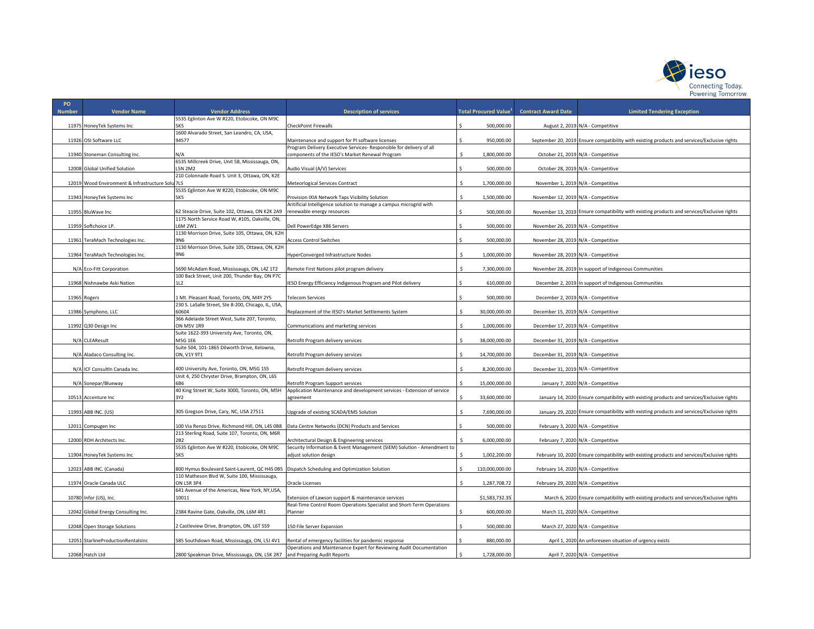

| PO            |                                        |                                                               |                                                                         |                                          |                                     |                                                                                              |
|---------------|----------------------------------------|---------------------------------------------------------------|-------------------------------------------------------------------------|------------------------------------------|-------------------------------------|----------------------------------------------------------------------------------------------|
| <b>Number</b> | <b>Vendor Name</b>                     | <b>Vendor Address</b>                                         | <b>Description of services</b>                                          | <b>Total Procured Value</b> <sup>1</sup> | <b>Contract Award Date</b>          | <b>Limited Tendering Exception</b>                                                           |
|               |                                        | 5535 Eglinton Ave W #220, Etobicoke, ON M9C                   |                                                                         |                                          |                                     |                                                                                              |
|               | 11975 HoneyTek Systems Inc             | 5K5<br>1600 Alvarado Street, San Leandro, CA, USA,            | <b>CheckPoint Firewalls</b>                                             | 500,000.00                               |                                     | August 2, 2019 N/A - Competitive                                                             |
|               | 11926 OSI Software LLC                 | 94577                                                         | Maintenance and support for PI software licenses                        | Ś<br>950,000.00                          |                                     | September 20, 2019 Ensure compatibility with existing products and services/Exclusive rights |
|               |                                        |                                                               | Program Delivery Executive Services-Responsible for delivery of all     |                                          |                                     |                                                                                              |
|               | 11940 Stoneman Consulting Inc.         | N/A                                                           | components of the IESO's Market Renewal Program                         | $\hat{\zeta}$<br>1,800,000.00            |                                     | October 21, 2019 N/A - Competitive                                                           |
|               |                                        | 6535 Millcreek Drive, Unit 58, Mississauga, ON,               |                                                                         |                                          |                                     |                                                                                              |
|               | 12008 Global Unified Solution          | 5N 2M2                                                        | Audio Visual (A/V) Services                                             | 500,000.00                               |                                     | October 28, 2019 N/A - Competitive                                                           |
|               | Wood Environment & Infrastructure Solu | 210 Colonnade Road S. Unit 3, Ottawa, ON, K2E<br>715          |                                                                         |                                          |                                     |                                                                                              |
| 12019         |                                        | 5535 Eglinton Ave W #220, Etobicoke, ON M9C                   | <b>Meteorlogical Services Contract</b>                                  | 1,700,000.00                             |                                     | November 1, 2019 N/A - Competitive                                                           |
|               | 11943 HoneyTek Systems Inc             | 5K5                                                           | Provision IXIA Network Taps Visibility Solution                         | 1,500,000.00                             | November 12, 2019 N/A - Competitive |                                                                                              |
|               |                                        |                                                               | Aritificial Intelligence solution to manage a campus microgrid with     |                                          |                                     |                                                                                              |
|               | 11955 BluWave Inc                      | 52 Steacie Drive, Suite 102, Ottawa, ON K2K 2A9               | renewable energy resources                                              | 500,000.00                               |                                     | November 13, 2019 Ensure compatibility with existing products and services/Exclusive rights  |
|               |                                        | 1175 North Service Road W, #105, Oakville, ON                 |                                                                         |                                          |                                     |                                                                                              |
|               | 11959 Softchoice LP.                   | L6M 2W1                                                       | Dell PowerEdge X86 Servers                                              | 500,000.00                               | November 26, 2019 N/A - Competitive |                                                                                              |
|               | 11961 TeraMach Technologies Inc.       | 1130 Morrison Drive, Suite 105, Ottawa, ON, K2H<br><b>ANG</b> | <b>Access Control Switches</b>                                          | 500,000.00                               | November 28, 2019 N/A - Competitive |                                                                                              |
|               |                                        | 1130 Morrison Drive, Suite 105, Ottawa, ON, K2H               |                                                                         |                                          |                                     |                                                                                              |
|               | 11964 TeraMach Technologies Inc.       | 9N6                                                           | HyperConverged Infrastructure Nodes                                     | 1,000,000.00                             | November 28, 2019 N/A - Competitive |                                                                                              |
|               |                                        |                                                               |                                                                         |                                          |                                     |                                                                                              |
|               | N/A Eco-Fitt Corporation               | 5690 McAdam Road, Mississauga, ON, L4Z 1T2                    | Remote First Nations pilot program delivery                             | 7,300,000.00                             |                                     | November 28, 2019 In support of Indigenous Communities                                       |
|               |                                        | 100 Back Street, Unit 200, Thunder Bay, ON P7C                |                                                                         |                                          |                                     |                                                                                              |
|               | 11968 Nishnawbe Aski Nation            | 112                                                           | IESO Energy Efficiency Indigenous Program and Pilot delivery            | 610,000.00                               |                                     | December 2, 2019 In support of Indigenous Communities                                        |
|               |                                        | Mt. Pleasant Road, Toronto, ON, M4Y 2Y5                       |                                                                         |                                          |                                     |                                                                                              |
|               | 11965 Rogers                           | 230 S. LaSalle Street, Ste 8-200, Chicago, IL, USA,           | Telecom Services                                                        | 500,000.00                               |                                     | December 2, 2019 N/A - Competitive                                                           |
|               | 11986 Symphono, LLC                    | 60604                                                         | Replacement of the IESO's Market Settlements System                     | 30,000,000.00                            | December 15, 2019 N/A - Competitive |                                                                                              |
|               |                                        | 366 Adelaide Street West, Suite 207, Toronto,                 |                                                                         |                                          |                                     |                                                                                              |
|               | 11992 Q30 Design Inc                   | ON M5V 1R9                                                    | Communications and marketing services                                   | 1,000,000.00                             | December 17, 2019 N/A - Competitive |                                                                                              |
|               |                                        | Suite 1622-393 University Ave, Toronto, ON,                   |                                                                         |                                          |                                     |                                                                                              |
|               | N/A CLEAResult                         | M5G 1E6                                                       | Retrofit Program delivery services                                      | 38,000,000.00                            | December 31, 2019 N/A - Competitive |                                                                                              |
|               |                                        | Suite 504, 101-1865 Dilworth Drive, Kelowna,<br>ON. V1Y 9T1   |                                                                         |                                          |                                     |                                                                                              |
|               | N/A Aladaco Consulting Inc.            |                                                               | Retrofit Program delivery services                                      | 14,700,000.00                            | December 31, 2019 N/A - Competitive |                                                                                              |
|               | N/A ICF ConsultIn Canada Inc.          | 400 University Ave, Toronto, ON, M5G 1S5                      | Retrofit Program delivery services                                      | 8,200,000.00                             | December 31, 2019 N/A - Competitive |                                                                                              |
|               |                                        | Unit 4, 250 Chryster Drive, Brampton, ON, L6S                 |                                                                         |                                          |                                     |                                                                                              |
|               | N/A Sonepar/Blueway                    | 5B6                                                           | Retrofit Program Support services                                       | 15,000,000.00                            |                                     | January 7, 2020 N/A - Competitive                                                            |
|               |                                        | 40 King Street W, Suite 3000, Toronto, ON, M5H                | Application Maintenance and development services - Extension of service |                                          |                                     |                                                                                              |
|               | 10513 Accenture Inc                    | 3Y2                                                           | agreement                                                               | 33,600,000.00                            |                                     | January 14, 2020 Ensure compatibility with existing products and services/Exclusive rights   |
|               | 11993 ABB INC. (US)                    | 305 Gregson Drive, Cary, NC, USA 27511                        | Upgrade of existing SCADA/EMS Solution                                  | 7,690,000.00                             |                                     | January 29, 2020 Ensure compatibility with existing products and services/Exclusive rights   |
|               |                                        |                                                               |                                                                         |                                          |                                     |                                                                                              |
|               | 12011 Compugen Inc                     | 100 Via Renzo Drive, Richmond Hill, ON, L4S 0B8               | Data Centre Networks (DCN) Products and Services                        | 500,000.00                               |                                     | February 3, 2020 N/A - Competitive                                                           |
|               |                                        | 213 Sterling Road, Suite 107, Toronto, ON, M6R                |                                                                         |                                          |                                     |                                                                                              |
|               | 12000 RDH Architects Inc.              | 2B2                                                           | Architectural Design & Engineering services                             | 6,000,000.00                             |                                     | February 7, 2020 N/A - Competitive                                                           |
|               |                                        | 5535 Eglinton Ave W #220, Etobicoke, ON M9C                   | Security Information & Event Management (SIEM) Solution - Amendment to  |                                          |                                     |                                                                                              |
|               | 11904 HoneyTek Systems Inc             | 5K5                                                           | adjust solution design                                                  | 1,002,200.00                             |                                     | February 10, 2020 Ensure compatibility with existing products and services/Exclusive rights  |
|               | 12023 ABB INC. (Canada)                | 800 Hymus Boulevard Saint-Laurent, QC H4S 0B5                 | Dispatch Scheduling and Optimization Solution                           | 110,000,000.00                           |                                     | February 14, 2020 N/A - Competitive                                                          |
|               |                                        | 110 Matheson Blvd W, Suite 100, Mississauga,                  |                                                                         |                                          |                                     |                                                                                              |
|               | 11974 Oracle Canada ULC                | ON L5R 3P4                                                    | Oracle Licenses                                                         | 1,287,708.72                             |                                     | February 29, 2020 N/A - Competitive                                                          |
|               |                                        | 641 Avenue of the Americas, New York, NY,USA                  |                                                                         |                                          |                                     |                                                                                              |
|               | 10780 Infor (US), Inc.                 | 10011                                                         | Extension of Lawson support & maintenance services                      | \$1,583,732.35                           |                                     | March 6, 2020 Ensure compatibility with existing products and services/Exclusive rights      |
|               |                                        |                                                               | Real-Time Control Room Operations Specialist and Short-Term Operations  |                                          |                                     |                                                                                              |
|               | 12042 Global Energy Consulting Inc.    | 2384 Ravine Gate, Oakville, ON, L6M 4R1                       | Planner                                                                 | 600,000.00                               |                                     | March 11, 2020 N/A - Competitive                                                             |
|               | 12048 Open Storage Solutions           | 2 Castleview Drive, Brampton, ON, L6T 5S9                     | 150 File Server Expansion                                               | 500,000.00                               |                                     | March 27, 2020 N/A - Competitive                                                             |
|               |                                        |                                                               |                                                                         |                                          |                                     |                                                                                              |
|               | 12051 StarlineProductionRentalsInc     | 585 Southdown Road, Mississauga, ON, L5J 4V1                  | Rental of emergency facilities for pandemic response                    | 880,000.00                               |                                     | April 1, 2020 An unforeseen situation of urgency exists                                      |
|               |                                        |                                                               | Operations and Maintenance Expert for Reviewing Audit Documentation     |                                          |                                     |                                                                                              |
|               | 12068 Hatch Ltd                        | 2800 Speakman Drive, Mississauga, ON, L5K 2R7                 | and Preparing Audit Reports                                             | 1,728,000.00                             |                                     | April 7, 2020 N/A - Competitive                                                              |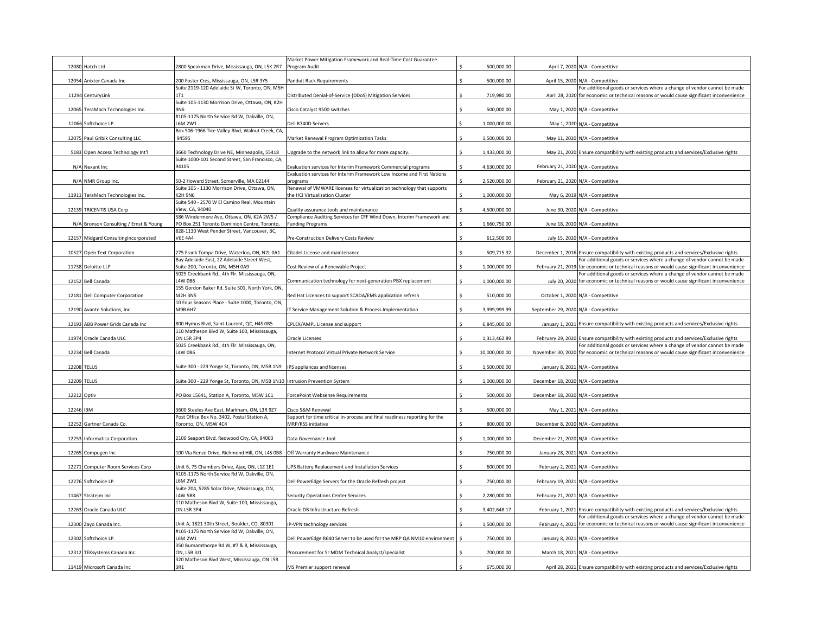|           |                                        |                                                                                                  | Market Power Mitigation Framework and Real-Time Cost Guarantee                                                   |               |                                      |                                                                                                                                                                        |
|-----------|----------------------------------------|--------------------------------------------------------------------------------------------------|------------------------------------------------------------------------------------------------------------------|---------------|--------------------------------------|------------------------------------------------------------------------------------------------------------------------------------------------------------------------|
|           | 12080 Hatch Ltd                        | 800 Speakman Drive, Mississauga, ON, L5K 2R7                                                     | Program Audit                                                                                                    | 500,000.00    |                                      | April 7, 2020 N/A - Competitive                                                                                                                                        |
|           | 12054 Anixter Canada Inc               | 200 Foster Cres, Mississauga, ON, L5R 3Y5                                                        | Panduit Rack Requirements                                                                                        | 500,000.00    |                                      | April 15, 2020 N/A - Competitive                                                                                                                                       |
|           |                                        | Suite 2119-120 Adelaide St W, Toronto, ON, M5H                                                   |                                                                                                                  |               |                                      | For additional goods or services where a change of vendor cannot be made                                                                                               |
|           | 11294 CenturyLink                      | Suite 105-1130 Morrison Drive, Ottawa, ON, K2H                                                   | Distributed Denial-of-Service (DDoS) Mitigation Services                                                         | 719,980.00    |                                      | April 28, 2020 for economic or technical reasons or would cause significant inconvenience                                                                              |
|           | 12065 TeraMach Technologies Inc.       | <b>ANG</b>                                                                                       | Cisco Catalyst 9500 switches                                                                                     | 500,000.00    |                                      | May 1, 2020 N/A - Competitive                                                                                                                                          |
|           |                                        | #105-1175 North Service Rd W, Oakville, ON,                                                      |                                                                                                                  |               |                                      |                                                                                                                                                                        |
|           | 12066 Softchoice LP.                   | <b>6M2W1</b><br>Box 506-1966 Tice Valley Blvd, Walnut Creek, CA,                                 | ell R740D Servers                                                                                                | 1,000,000.00  |                                      | May 1, 2020 N/A - Competitive                                                                                                                                          |
|           | 12075 Paul Gribik Consulting LLC       | 94595                                                                                            | Market Renewal Program Optimization Tasks                                                                        | 1,500,000.00  |                                      | May 11, 2020 N/A - Competitive                                                                                                                                         |
|           |                                        |                                                                                                  |                                                                                                                  |               |                                      |                                                                                                                                                                        |
|           | 5183 Open Access Technology Int'l      | 3660 Technology Drive NE, Minneapolis, 55418<br>Suite 1000-101 Second Street, San Francisco, CA, | Jpgrade to the network link to allow for more capacity.                                                          | 1,433,000.00  |                                      | May 21, 2020 Ensure compatibility with existing products and services/Exclusive rights                                                                                 |
|           | N/A Nexant Inc                         | 94105                                                                                            | Evaluation services for Interim Framework Commercial programs                                                    | 4,630,000.00  |                                      | February 21, 2020 N/A - Competitive                                                                                                                                    |
|           |                                        |                                                                                                  | Evaluation services for Interim Framework Low Income and First Nations                                           |               |                                      |                                                                                                                                                                        |
|           | N/A NMR Group Inc.                     | 50-2 Howard Street, Somerville, MA 02144<br>Suite 105 - 1130 Morrison Drive, Ottawa, ON,         | programs<br>Renewal of VMWARE licenses for virtualization technology that supports                               | 2,520,000.00  |                                      | February 21, 2020 N/A - Competitive                                                                                                                                    |
|           | 11911 TeraMach Technologies Inc.       | K2H 9N6                                                                                          | the HCI Virtualization Cluster                                                                                   | 1,000,000.00  |                                      | May 6, 2019 N/A - Competitive                                                                                                                                          |
|           |                                        | Suite 540 - 2570 W El Camino Real, Mountain                                                      |                                                                                                                  |               |                                      |                                                                                                                                                                        |
|           | 12139 TRICENTIS USA Corp               | View, CA, 94040<br>586 Windermere Ave, Ottawa, ON, K2A 2W5 /                                     | Quality assurance tools and maintanance<br>Compliance Auditing Services for CFF Wind Down, Interim Framework and | 4,500,000.00  |                                      | June 30, 2020 N/A - Competitive                                                                                                                                        |
|           | N/A Bronson Consulting / Ernst & Young | PO Box 251 Toronto Dominion Centre, Toronto,                                                     | <b>Funding Programs</b>                                                                                          | 1,660,750.00  |                                      | June 18, 2020 N/A - Competitive                                                                                                                                        |
|           |                                        | 828-1130 West Pender Street, Vancouver, BC,                                                      |                                                                                                                  |               |                                      |                                                                                                                                                                        |
|           | 12157 Midgard ConsultingIncorporated   | <b>V6E 4A4</b>                                                                                   | Pre-Construction Delivery Costs Review                                                                           | 612,500.00    |                                      | July 15, 2020 N/A - Competitive                                                                                                                                        |
|           | 10527 Open Text Corporation            | 275 Frank Tompa Drive, Waterloo, ON, N2L 0A1                                                     | Citadel License and maintenance                                                                                  | 509,715.32    |                                      | December 1, 2016 Ensure compatibility with existing products and services/Exclusive rights                                                                             |
|           |                                        | Bay Adelaide East, 22 Adelaide Street West,                                                      |                                                                                                                  |               |                                      | For additional goods or services where a change of vendor cannot be made                                                                                               |
|           | 11738 Deloitte LLP                     | Suite 200, Toronto, ON, M5H 0A9                                                                  | Cost Review of a Renewable Project                                                                               | 1,000,000.00  |                                      | February 21, 2019 for economic or technical reasons or would cause significant inconvenience                                                                           |
|           | 12152 Bell Canada                      | 5025 Creekbank Rd., 4th Flr. Mississauga, ON,<br>4W 0B6                                          | Communication technology for next-generation PBX replacement                                                     | 1,000,000.00  |                                      | For additional goods or services where a change of vendor cannot be made<br>July 20, 2020 for economic or technical reasons or would cause significant inconvenience   |
|           |                                        | 155 Gordon Baker Rd. Suite 501, North York, ON,                                                  |                                                                                                                  |               |                                      |                                                                                                                                                                        |
|           | 12181 Dell Computer Corporation        | <b>42H 3N5</b>                                                                                   | Red Hat Licences to support SCADA/EMS application refresh                                                        | 510,000.00    |                                      | October 1, 2020 N/A - Competitive                                                                                                                                      |
|           | 12190 Avante Solutions, Inc.           | 10 Four Seasons Place - Suite 1000, Toronto, ON,<br>M9B 6H7                                      | T Service Management Solution & Process Implementation                                                           | 3,999,999.99  | September 29, 2020 N/A - Competitive |                                                                                                                                                                        |
|           |                                        |                                                                                                  |                                                                                                                  |               |                                      |                                                                                                                                                                        |
|           | 12193 ABB Power Grids Canada Inc       | 300 Hymus Blvd, Saint-Laurent, QC, H4S 0B5                                                       | CPLEX/AMPL License and support                                                                                   | 6,845,000.00  |                                      | January 1, 2021 Ensure compatibility with existing products and services/Exclusive rights                                                                              |
|           | 11974 Oracle Canada ULC                | 110 Matheson Blvd W, Suite 100, Mississauga,<br>ON L5R 3P4                                       | Oracle Licenses                                                                                                  | 1,313,462.89  |                                      | February 29, 2020 Ensure compatibility with existing products and services/Exclusive rights                                                                            |
|           |                                        | 5025 Creekbank Rd., 4th Flr. Mississauga, ON,                                                    |                                                                                                                  |               |                                      | For additional goods or services where a change of vendor cannot be made                                                                                               |
|           |                                        |                                                                                                  |                                                                                                                  |               |                                      |                                                                                                                                                                        |
|           | 12234 Bell Canada                      | 4W 0B6                                                                                           | nternet Protocol Virtual Private Network Service                                                                 | 10,000,000.00 |                                      | November 30, 2020 for economic or technical reasons or would cause significant inconvenience                                                                           |
|           |                                        |                                                                                                  |                                                                                                                  | 1,500,000.00  |                                      |                                                                                                                                                                        |
|           | 12208 TELUS                            | Suite 300 - 229 Yonge St, Toronto, ON, M5B 1N9                                                   | IPS appliances and licenses                                                                                      |               |                                      | January 8, 2021 N/A - Competitive                                                                                                                                      |
|           | 12209 TELUS                            | Suite 300 - 229 Yonge St, Toronto, ON, M5B 1N10                                                  | <b>Intrusion Prevention System</b>                                                                               | 1,000,000.00  | December 18, 2020 N/A - Competitive  |                                                                                                                                                                        |
|           |                                        |                                                                                                  |                                                                                                                  |               |                                      |                                                                                                                                                                        |
|           | 12212 Optiv                            | O Box 15641, Station A, Toronto, M5W 1C1                                                         | ForcePoint Websense Requirements                                                                                 | 500,000.00    | December 18, 2020 N/A - Competitive  |                                                                                                                                                                        |
| 12246 IBM |                                        | 3600 Steeles Ave East, Markham, ON, L3R 9Z7                                                      | isco S&M Renewal                                                                                                 | 500,000.00    |                                      | May 1, 2021 N/A - Competitive                                                                                                                                          |
|           |                                        | Post Office Box No. 3402, Postal Station A,                                                      | Support for time critical in-process and final readiness reporting for the                                       |               |                                      |                                                                                                                                                                        |
|           | 12252 Gartner Canada Co.               | Toronto, ON, M5W 4C4                                                                             | MRP/RSS initiative                                                                                               | 800,000.00    |                                      | December 8, 2020 N/A - Competitive                                                                                                                                     |
|           | 12253 Informatica Corporation          | 2100 Seaport Blvd. Redwood City, CA, 94063                                                       | Data Governance tool                                                                                             | 1,000,000.00  | December 21, 2020 N/A - Competitive  |                                                                                                                                                                        |
|           |                                        |                                                                                                  |                                                                                                                  |               |                                      |                                                                                                                                                                        |
|           | 12265 Compugen Inc                     | 100 Via Renzo Drive, Richmond Hill, ON, L4S 0B8                                                  | Off Warranty Hardware Maintenance                                                                                | 750,000.00    |                                      | January 28, 2021 N/A - Competitive                                                                                                                                     |
|           | 12271 Computer Room Services Corp      | Unit 6, 75 Chambers Drive, Ajax, ON, L1Z 1E1                                                     | JPS Battery Replacement and Installation Services                                                                | 600,000.00    |                                      | February 2, 2021 N/A - Competitive                                                                                                                                     |
|           |                                        | #105-1175 North Service Rd W, Oakville, ON,                                                      |                                                                                                                  |               |                                      |                                                                                                                                                                        |
|           | 12276 Softchoice LP.                   | L6M 2W1<br>Suite 204, 5285 Solar Drive, Mississauga, ON,                                         | Dell PowerEdge Servers for the Oracle Refresh project                                                            | 750,000.00    |                                      | February 19, 2021 N/A - Competitive                                                                                                                                    |
|           | 11467 Stratejm Inc                     | <b>4W 5B8</b>                                                                                    | Security Operations Center Services                                                                              | 2,280,000.00  |                                      | February 21, 2021 N/A - Competitive                                                                                                                                    |
|           |                                        | 110 Matheson Blvd W, Suite 100, Mississauga,                                                     |                                                                                                                  |               |                                      |                                                                                                                                                                        |
|           | 12263 Oracle Canada ULC                | <b>ON L5R 3P4</b>                                                                                | Oracle DB Infrastructure Refresh                                                                                 | 3,402,648.17  |                                      | February 1, 2021 Ensure compatibility with existing products and services/Exclusive rights<br>For additional goods or services where a change of vendor cannot be made |
|           | 12300 Zayo Canada Inc.                 | Jnit A, 1821 30th Street, Boulder, CO, 80301                                                     | P-VPN technology services                                                                                        | 1,500,000.00  |                                      | February 4, 2021 for economic or technical reasons or would cause significant inconvenience                                                                            |
|           |                                        | #105-1175 North Service Rd W, Oakville, ON,                                                      |                                                                                                                  |               |                                      |                                                                                                                                                                        |
|           | 12302 Softchoice LP.                   | 6M 2W1<br>350 Burnamthorpe Rd W, #7 & 8, Mississauga,                                            | Dell PowerEdge R640 Server to be used for the MRP QA NM10 environment                                            | 750,000.00    |                                      | January 8, 2021 N/A - Competitive                                                                                                                                      |
|           | 12312 TEKsystems Canada Inc.           | ON, L5B 3J1                                                                                      | Procurement for Sr MDM Technical Analyst/specialist                                                              | 700,000.00    |                                      | March 18, 2021 N/A - Competitive                                                                                                                                       |
|           | 11419 Microsoft Canada Inc             | 320 Matheson Blvd West, Mississauga, ON L5R<br>3R1                                               | MS Premier support renewal                                                                                       | 675,000.00    |                                      | April 28, 2021 Ensure compatibility with existing products and services/Exclusive rights                                                                               |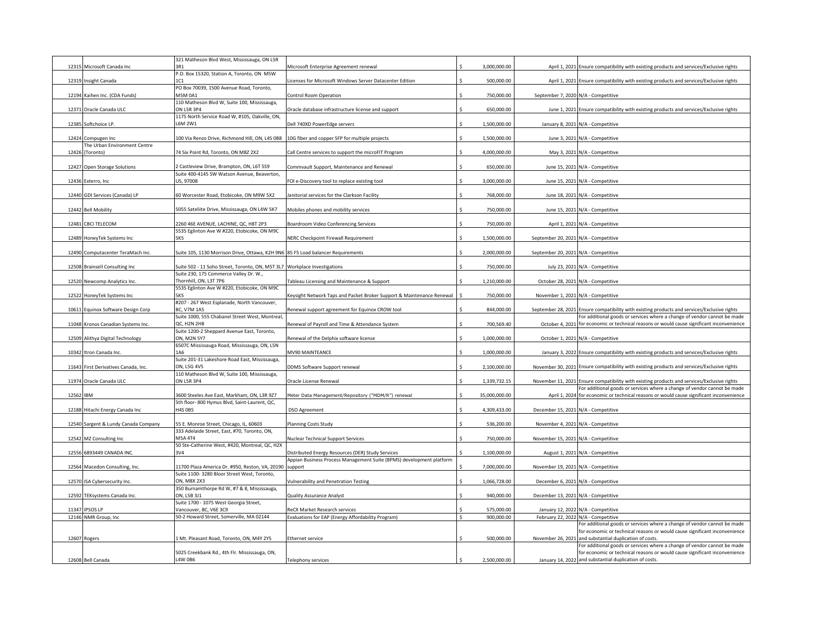|       |                                      | 321 Matheson Blvd West, Mississauga, ON L5R                                      |                                                                       |               |                                      |                                                                                                                                      |
|-------|--------------------------------------|----------------------------------------------------------------------------------|-----------------------------------------------------------------------|---------------|--------------------------------------|--------------------------------------------------------------------------------------------------------------------------------------|
| 12315 | Microsoft Canada Inc                 | 3R1                                                                              | Aicrosoft Enterprise Agreement renewal                                | 3,000,000.00  |                                      | April 1, 2021 Ensure compatibility with existing products and services/Exclusive rights                                              |
|       |                                      | P.O. Box 15320, Station A, Toronto, ON M5W                                       |                                                                       |               |                                      |                                                                                                                                      |
| 12319 | Insight Canada                       |                                                                                  | icenses for Microsoft Windows Server Datacenter Edition               | 500,000.00    |                                      | April 1, 2021 Ensure compatibility with existing products and services/Exclusive rights                                              |
|       |                                      | PO Box 70039, 1500 Avenue Road, Toronto,                                         |                                                                       |               |                                      |                                                                                                                                      |
|       | 12194 Kaihen Inc. (CDA Funds)        | <b>M5M 0A1</b>                                                                   | Control Room Operation                                                | 750,000.00    |                                      | September 7, 2020 N/A - Competitive                                                                                                  |
|       |                                      | 110 Matheson Blvd W, Suite 100, Mississauga,                                     |                                                                       |               |                                      |                                                                                                                                      |
|       | 12371 Oracle Canada ULC              | <b>ON L5R 3P4</b>                                                                | Oracle database infrastructure license and support                    | 650,000.00    |                                      | June 1, 2021 Ensure compatibility with existing products and services/Exclusive rights                                               |
|       |                                      | 1175 North Service Road W, #105, Oakville, ON,                                   |                                                                       |               |                                      |                                                                                                                                      |
|       | 12385 Softchoice LP.                 | 6M 2W1                                                                           | Dell 740XD PowerEdge servers                                          | 1,500,000.00  |                                      | January 8, 2021 N/A - Competitive                                                                                                    |
|       |                                      |                                                                                  |                                                                       |               |                                      |                                                                                                                                      |
| 12424 | Compugen Inc                         | 100 Via Renzo Drive, Richmond Hill, ON, L4S 0B8                                  | 10G fiber and copper SFP for multiple projects                        | 1,500,000.00  |                                      | June 3, 2021 N/A - Competitive                                                                                                       |
|       | The Urban Environment Centre         |                                                                                  |                                                                       |               |                                      |                                                                                                                                      |
| 12426 | (Toronto)                            | 74 Six Point Rd, Toronto, ON M8Z 2X2                                             | Call Centre services to support the microFIT Program                  | 4,000,000.00  |                                      | May 3, 2021 N/A - Competitive                                                                                                        |
|       |                                      |                                                                                  |                                                                       |               |                                      |                                                                                                                                      |
|       |                                      |                                                                                  |                                                                       |               |                                      |                                                                                                                                      |
| 12427 | Open Storage Solutions               | Castleview Drive, Brampton, ON, L6T 5S9                                          | Commvault Support, Maintenance and Renewal                            | 650,000.00    |                                      | June 15, 2021 N/A - Competitive                                                                                                      |
|       |                                      | Suite 400-4145 SW Watson Avenue, Beaverton,                                      |                                                                       |               |                                      |                                                                                                                                      |
|       | 12436 Exterro, Inc                   | US, 97008                                                                        | FOI e-Discovery tool to replace existing tool                         | 3,000,000.00  |                                      | June 15, 2021 N/A - Competitive                                                                                                      |
|       |                                      |                                                                                  |                                                                       |               |                                      |                                                                                                                                      |
|       | 12440 GDI Services (Canada) LP       | 60 Worcester Road, Etobicoke, ON M9W 5X2                                         | lanitorial services for the Clarkson Facility                         | 768.000.00    |                                      | June 18, 2021 N/A - Competitive                                                                                                      |
|       |                                      |                                                                                  |                                                                       |               |                                      |                                                                                                                                      |
|       | 12442 Bell Mobility                  | 5055 Sateliite Drive, Mississauga, ON L4W 5K7                                    | Mobiles phones and mobility services                                  | 750,000.00    |                                      | June 15, 2021 N/A - Competitive                                                                                                      |
|       |                                      |                                                                                  |                                                                       |               |                                      |                                                                                                                                      |
|       | 12481 CBCI TELECOM                   | 260 46E AVENUE, LACHINE, QC, H8T 2P3                                             | Boardroom Video Conferencing Services                                 | 750,000.00    |                                      | April 1, 2021 N/A - Competitive                                                                                                      |
|       |                                      | 5535 Eglinton Ave W #220, Etobicoke, ON M9C                                      |                                                                       |               |                                      |                                                                                                                                      |
| 12489 | HoneyTek Systems Inc                 | 5K5                                                                              | <b>NERC Checkpoint Firewall Requirement</b>                           | 1,500,000.00  | September 20, 2021 N/A - Competitive |                                                                                                                                      |
|       |                                      |                                                                                  |                                                                       |               |                                      |                                                                                                                                      |
|       |                                      |                                                                                  |                                                                       |               |                                      |                                                                                                                                      |
|       | 12490 Computacenter TeraMach Inc.    | Suite 105, 1130 Morrison Drive, Ottawa, K2H 9N6 85 F5 Load balancer Requirements |                                                                       | 2,000,000.00  | September 20, 2021 N/A - Competitive |                                                                                                                                      |
|       |                                      |                                                                                  |                                                                       |               |                                      |                                                                                                                                      |
|       | 12508 Brainsell Consulting Inc       | Suite 502 - 11 Soho Street, Toronto, ON, M5T 3L7 Workplace Investigations        |                                                                       | 750,000.00    |                                      | July 23, 2021 N/A - Competitive                                                                                                      |
|       |                                      | Suite 230, 175 Commerce Valley Dr. W.,                                           |                                                                       |               |                                      |                                                                                                                                      |
| 12520 | Newcomp Analytics Inc.               | Thornhill, ON, L3T 7P6                                                           | Tableau Licensing and Maintenance & Support                           | 1,210,000.00  |                                      | October 28, 2021 N/A - Competitive                                                                                                   |
|       |                                      | 5535 Eglinton Ave W #220, Etobicoke, ON M9C                                      |                                                                       |               |                                      |                                                                                                                                      |
| 12522 | HoneyTek Systems Inc                 | <b>5K5</b>                                                                       | Keysight Network Taps and Packet Broker Support & Maintenance Renewal | 750,000.00    |                                      | November 1, 2021 N/A - Competitive                                                                                                   |
|       |                                      | #207 - 267 West Esplanade, North Vancouver,                                      |                                                                       |               |                                      |                                                                                                                                      |
| 10611 | Equinox Software Design Corp         | <b>BC, V7M 1A5</b>                                                               | Renewal support agreement for Equinox CROW tool                       | 844,000.00    |                                      | September 28, 2021 Ensure compatibility with existing products and services/Exclusive rights                                         |
|       |                                      | Suite 1000, 555 Chabanel Street West, Montreal,                                  |                                                                       |               |                                      | For additional goods or services where a change of vendor cannot be made                                                             |
|       | 11048 Kronos Canadian Systems Inc.   | QC, H2N 2H8                                                                      | Renewal of Payroll and Time & Attendance System                       | 700,569.40    |                                      | October 4, 2021 for economic or technical reasons or would cause significant inconvenience                                           |
|       |                                      | Suite 1200-2 Sheppard Avenue East, Toronto,                                      |                                                                       |               |                                      |                                                                                                                                      |
|       | 12509 Alithya Digital Technology     | ON, M2N 5Y7                                                                      | Renewal of the Delphix software license                               | 1,000,000.00  |                                      | October 1, 2021 N/A - Competitive                                                                                                    |
|       |                                      | 6507C Mississauga Road, Mississauga, ON, L5N                                     |                                                                       |               |                                      |                                                                                                                                      |
|       |                                      | 146                                                                              |                                                                       |               |                                      |                                                                                                                                      |
| 10342 | Itron Canada Inc.                    |                                                                                  | <b>MV90 MAINTEANCE</b>                                                | 1,000,000.00  |                                      | January 3, 2022 Ensure compatibility with existing products and services/Exclusive rights                                            |
|       |                                      | Suite 201-31 Lakeshore Road East, Mississauga,                                   |                                                                       |               |                                      |                                                                                                                                      |
| 11643 | First Derivatives Canada, Inc.       | ON, L5G 4V5                                                                      | DDMS Software Support renewal                                         | 2,100,000.00  |                                      | November 30, 2021 Ensure compatibility with existing products and services/Exclusive rights                                          |
|       |                                      | 110 Matheson Blvd W, Suite 100, Mississauga,                                     |                                                                       |               |                                      |                                                                                                                                      |
| 11974 | Oracle Canada ULC                    | <b>ON L5R 3P4</b>                                                                | Oracle License Renewal                                                | 1,339,732.15  |                                      | November 11, 2021 Ensure compatibility with existing products and services/Exclusive rights                                          |
|       |                                      |                                                                                  |                                                                       |               |                                      | For additional goods or services where a change of vendor cannot be made                                                             |
| 12562 | IBM                                  | 3600 Steeles Ave East, Markham, ON, L3R 9Z7                                      | Meter Data Management/Repository ("MDM/R") renewal                    | 35,000,000.00 |                                      | April 1, 2024 for economic or technical reasons or would cause significant inconvenience                                             |
|       |                                      | 5th floor-800 Hymus Blvd, Saint-Laurent, QC,                                     |                                                                       |               |                                      |                                                                                                                                      |
|       | 12188 Hitachi Energy Canada Inc      | <b>14S OB5</b>                                                                   | DSO Agreement                                                         | 4,309,433.00  |                                      | December 15, 2021 N/A - Competitive                                                                                                  |
|       |                                      |                                                                                  |                                                                       |               |                                      |                                                                                                                                      |
|       | 12540 Sargent & Lundy Canada Company | 55 E. Monroe Street, Chicago, IL, 60603                                          | Planning Costs Study                                                  | 536,200.00    |                                      | November 4, 2021 N/A - Competitive                                                                                                   |
|       |                                      |                                                                                  |                                                                       |               |                                      |                                                                                                                                      |
| 12542 |                                      |                                                                                  |                                                                       |               |                                      |                                                                                                                                      |
|       |                                      | 333 Adelaide Street, East, #70, Toronto, ON,                                     |                                                                       |               |                                      |                                                                                                                                      |
|       | MZ Consulting Inc                    | M5A 4T4                                                                          | Nuclear Technical Support Services                                    | 750,000.00    |                                      | November 15, 2021 N/A - Competitive                                                                                                  |
|       |                                      | 50 Ste-Catherine West, #420, Montreal, QC, H2X                                   |                                                                       |               |                                      |                                                                                                                                      |
| 12556 | 6893449 CANADA INC.                  | 3V4                                                                              | Distributed Energy Resources (DER) Study Services                     | 1,100,000.00  |                                      | August 1, 2021 N/A - Competitive                                                                                                     |
|       |                                      |                                                                                  | Appian Business Process Management Suite (BPMS) development platform  |               |                                      |                                                                                                                                      |
| 12564 | Macedon Consulting, Inc.             | 11700 Plaza America Dr. #950, Reston, VA, 20190 support                          |                                                                       | 7,000,000.00  |                                      | November 19, 2021 N/A - Competitive                                                                                                  |
|       |                                      | Suite 1100-3280 Bloor Street West, Toronto,                                      |                                                                       |               |                                      |                                                                                                                                      |
| 12570 | ISA Cybersecurity Inc.               | ON, M8X 2X3                                                                      | Vulnerability and Penetration Testing                                 | 1,066,728.00  |                                      | December 6, 2021 N/A - Competitive                                                                                                   |
|       |                                      | 350 Burnamthorpe Rd W, #7 & 8, Mississauga,                                      |                                                                       |               |                                      |                                                                                                                                      |
|       | 12592 TEKsystems Canada Inc.         | ON, L5B 3J1                                                                      | Quality Assurance Analyst                                             | 940,000.00    |                                      | December 13, 2021 N/A - Competitive                                                                                                  |
|       |                                      | Suite 1700 - 1075 West Georgia Street,                                           |                                                                       |               |                                      |                                                                                                                                      |
| 11347 | <b>IPSOS LP</b>                      | Vancouver, BC, V6E 3C9                                                           | ReCX Market Research services                                         | 575,000.00    |                                      |                                                                                                                                      |
| 12146 | NMR Group, Inc                       | 50-2 Howard Street, Somerville, MA 02144                                         | Evaluations for EAP (Energy Affordability Program)                    | 900,000.00    |                                      | January 12, 2022 N/A - Competitive<br>February 22, 2022 N/A - Competitive                                                            |
|       |                                      |                                                                                  |                                                                       |               |                                      |                                                                                                                                      |
|       |                                      |                                                                                  |                                                                       |               |                                      | For additional goods or services where a change of vendor cannot be made                                                             |
|       |                                      |                                                                                  |                                                                       |               |                                      | for economic or technical reasons or would cause significant inconvenience                                                           |
|       | 12607 Rogers                         | Mt. Pleasant Road, Toronto, ON, M4Y 2Y5                                          | thernet service                                                       | 500,000.00    |                                      | November 26, 2021 and substantial duplication of costs.                                                                              |
|       |                                      |                                                                                  |                                                                       |               |                                      | For additional goods or services where a change of vendor cannot be made                                                             |
|       | 12608 Bell Canada                    | 5025 Creekbank Rd., 4th Flr. Mississauga, ON,<br>L4W 0B6                         | Telephony services                                                    | 2.500.000.00  |                                      | for economic or technical reasons or would cause significant inconvenience<br>January 14, 2022 and substantial duplication of costs. |